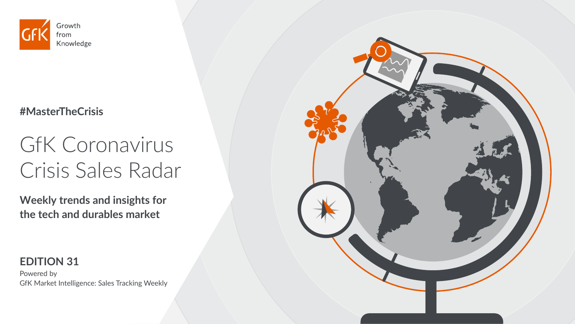

#### **#MasterTheCrisis**

# GfK Coronavirus Crisis Sales Radar

**Weekly trends and insights for the tech and durables market** 

#### **EDITION 31**

Powered by GfK Market Intelligence: Sales Tracking Weekly

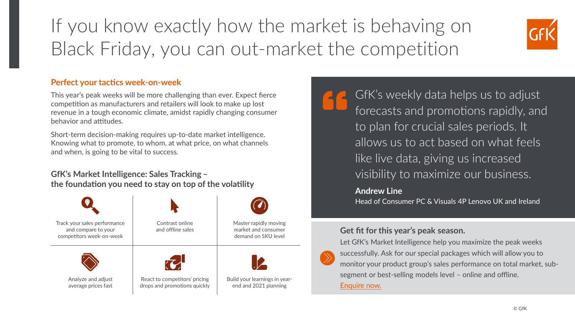## If you know exactly how the market is behaving on Black Friday, you can out-market the competition



#### **Perfect your tactics week-on-week**

This year's peak weeks will be more challenging than ever. Expect fierce competition as manufacturers and retailers will look to make up lost revenue in a tough economic climate, amidst rapidly changing consumer behavior and attitudes.

Short-term decision-making requires up-to-date market intelligence. Knowing what to promote, to whom, at what price, on what channels and when, is going to be vital to success.

#### **GfK's Market Intelligence: Sales Tracking ̶**

**the foundation you need to stay on top of the volatility**



GfK's weekly data helps us to adjust forecasts and promotions rapidly, and to plan for crucial sales periods. It allows us to act based on what feels like live data, giving us increased visibility to maximize our business.

#### **Andrew Line**

Head of Consumer PC & Visuals 4P Lenovo UK and Ireland

#### **Get fit for this year's peak season.**

Let GfK's Market Intelligence help you maximize the peak weeks successfully. Ask for our special packages which will allow you to monitor your product group's sales performance on total market, subsegment or best-selling models level – online and offline. [Enquire now.](https://insights.gfk.com/gfk-weekly-market-intelligence)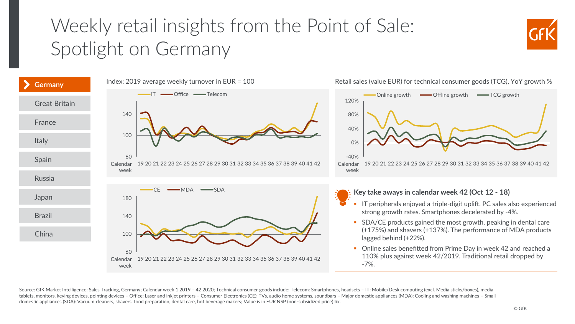## <span id="page-2-0"></span>Weekly retail insights from the Point of Sale: Spotlight on Germany





Source: GfK Market Intelligence: Sales Tracking, Germany; Calendar week 1 2019 – 42 2020; Technical consumer goods include: Telecom: Smartphones, headsets – IT: Mobile/Desk computing (excl. Media sticks/boxes), media tablets, monitors, keying devices, pointing devices – Office: Laser and inkjet printers – Consumer Electronics (CE): TVs, audio home systems, soundbars – Major domestic appliances (MDA): Cooling and washing machines – Small domestic appliances (SDA): Vacuum cleaners, shavers, food preparation, dental care, hot beverage makers; Value is in EUR NSP (non-subsidized price) fix.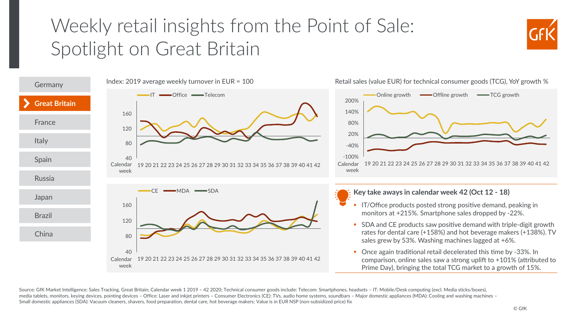#### <span id="page-3-0"></span>Weekly retail insights from the Point of Sale: Spotlight on Great Britain





Source: GfK Market Intelligence: Sales Tracking, Great Britain; Calendar week 1 2019 - 42 2020; Technical consumer goods include: Telecom: Smartphones, headsets - IT: Mobile/Desk computing (excl. Media sticks/boxes), media tablets, monitors, keying devices, pointing devices – Office: Laser and inkjet printers – Consumer Electronics (CE): TVs, audio home systems, soundbars – Major domestic appliances (MDA): Cooling and washing machines Small domestic appliances (SDA): Vacuum cleaners, shavers, food preparation, dental care, hot beverage makers; Value is in EUR NSP (non-subsidized price) fix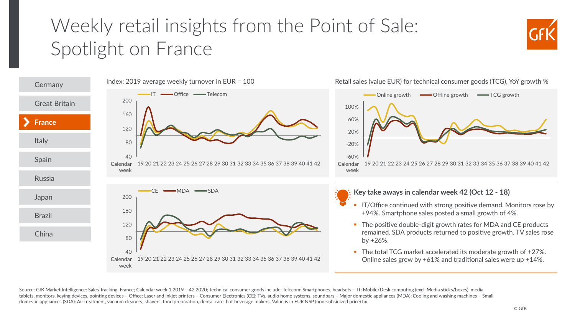## <span id="page-4-0"></span>Weekly retail insights from the Point of Sale: Spotlight on France





Source: GfK Market Intelligence: Sales Tracking, France; Calendar week 1 2019 – 42 2020; Technical consumer goods include: Telecom: Smartphones, headsets – IT: Mobile/Desk computing (excl. Media sticks/boxes), media tablets, monitors, keying devices, pointing devices – Office: Laser and inkjet printers – Consumer Electronics (CE): TVs, audio home systems, soundbars – Major domestic appliances (MDA): Cooling and washing machines – Small domestic appliances (SDA): Air treatment, vacuum cleaners, shavers, food preparation, dental care, hot beverage makers; Value is in EUR NSP (non-subsidized price) fix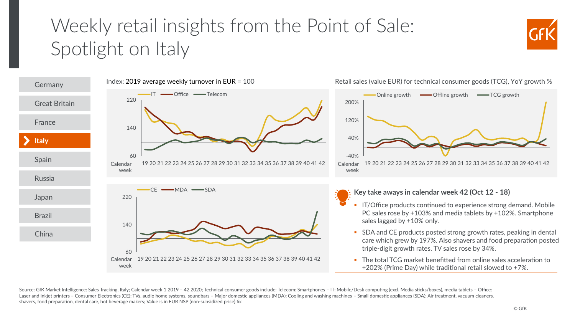## <span id="page-5-0"></span>Weekly retail insights from the Point of Sale: Spotlight on Italy





Source: GfK Market Intelligence: Sales Tracking, Italy; Calendar week 1 2019 – 42 2020; Technical consumer goods include: Telecom: Smartphones – IT: Mobile/Desk computing (excl. Media sticks/boxes), media tablets – Office: Laser and inkjet printers - Consumer Electronics (CE): TVs, audio home systems, soundbars - Major domestic appliances (MDA): Cooling and washing machines - Small domestic appliances (SDA): Air treatment, vacuum cleaners. shavers, food preparation, dental care, hot beverage makers; Value is in EUR NSP (non-subsidized price) fix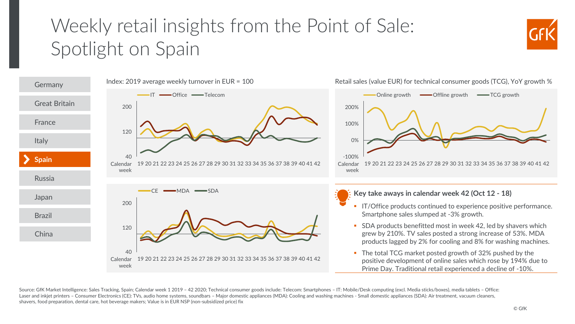## <span id="page-6-0"></span>Weekly retail insights from the Point of Sale: Spotlight on Spain





Source: GfK Market Intelligence: Sales Tracking, Spain; Calendar week 1 2019 – 42 2020; Technical consumer goods include: Telecom: Smartphones – IT: Mobile/Desk computing (excl. Media sticks/boxes), media tablets – Office: Laser and inkjet printers – Consumer Electronics (CE): TVs, audio home systems, soundbars – Major domestic appliances (MDA): Cooling and washing machines - Small domestic appliances (SDA): Air treatment, vacuum cleaners, shavers, food preparation, dental care, hot beverage makers; Value is in EUR NSP (non-subsidized price) fix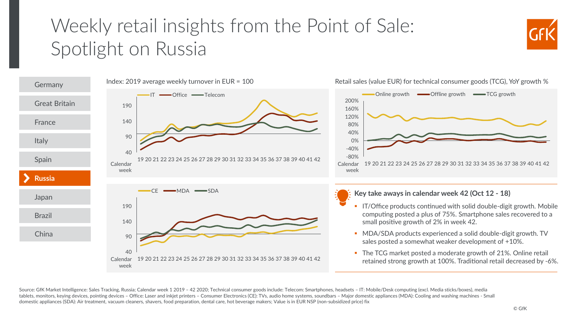### <span id="page-7-0"></span>Weekly retail insights from the Point of Sale: Spotlight on Russia





Retail sales (value EUR) for technical consumer goods (TCG), YoY growth %

Source: GfK Market Intelligence: Sales Tracking, Russia; Calendar week 1 2019 – 42 2020; Technical consumer goods include: Telecom: Smartphones, headsets – IT: Mobile/Desk computing (excl. Media sticks/boxes), media tablets, monitors, keying devices, pointing devices – Office: Laser and inkjet printers – Consumer Electronics (CE): TVs, audio home systems, soundbars – Major domestic appliances (MDA): Cooling and washing machines - Small domestic appliances (SDA): Air treatment, vacuum cleaners, shavers, food preparation, dental care, hot beverage makers; Value is in EUR NSP (non-subsidized price) fix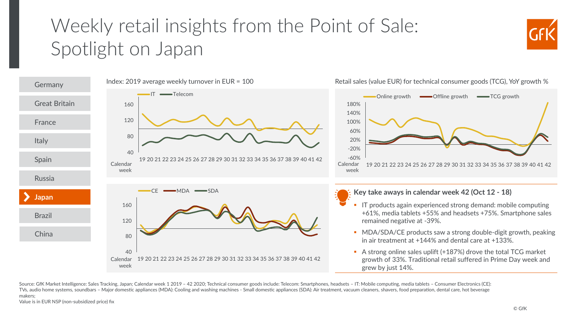## <span id="page-8-0"></span>Weekly retail insights from the Point of Sale: Spotlight on Japan





Source: GfK Market Intelligence: Sales Tracking, Japan; Calendar week 1 2019 - 42 2020; Technical consumer goods include: Telecom: Smartphones, headsets - IT: Mobile computing, media tablets - Consumer Electronics (CE): TVs, audio home systems, soundbars – Major domestic appliances (MDA): Cooling and washing machines - Small domestic appliances (SDA): Air treatment, vacuum cleaners, shavers, food preparation, dental care, hot beverage makers;

Value is in EUR NSP (non-subsidized price) fix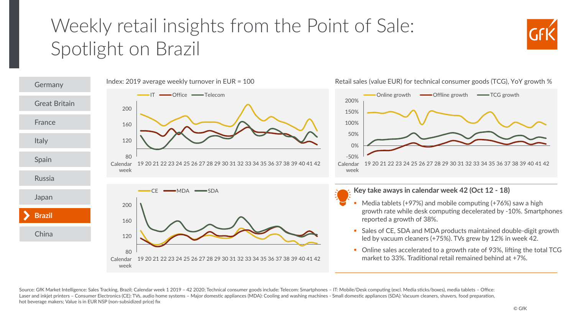### <span id="page-9-0"></span>Weekly retail insights from the Point of Sale: Spotlight on Brazil





Source: GfK Market Intelligence: Sales Tracking, Brazil; Calendar week 1 2019 – 42 2020; Technical consumer goods include: Telecom: Smartphones – IT: Mobile/Desk computing (excl. Media sticks/boxes), media tablets – Office Laser and inkiet printers – Consumer Electronics (CE): TVs, audio home systems – Major domestic appliances (MDA): Cooling and washing machines - Small domestic appliances (SDA): Vacuum cleaners, shavers, food preparation, hot beverage makers; Value is in EUR NSP (non-subsidized price) fix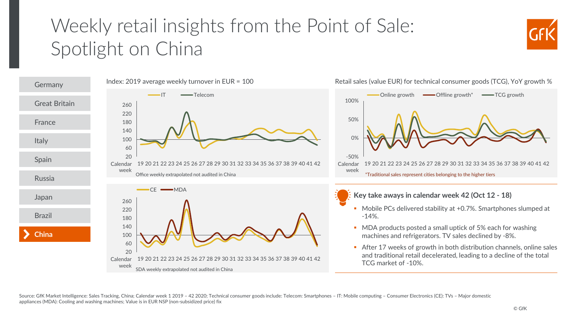## <span id="page-10-0"></span>Weekly retail insights from the Point of Sale: Spotlight on China





Source: GfK Market Intelligence: Sales Tracking, China; Calendar week 1 2019 - 42 2020; Technical consumer goods include: Telecom: Smartphones - IT: Mobile computing - Consumer Electronics (CE): TVs - Major domestic appliances (MDA): Cooling and washing machines; Value is in EUR NSP (non-subsidized price) fix